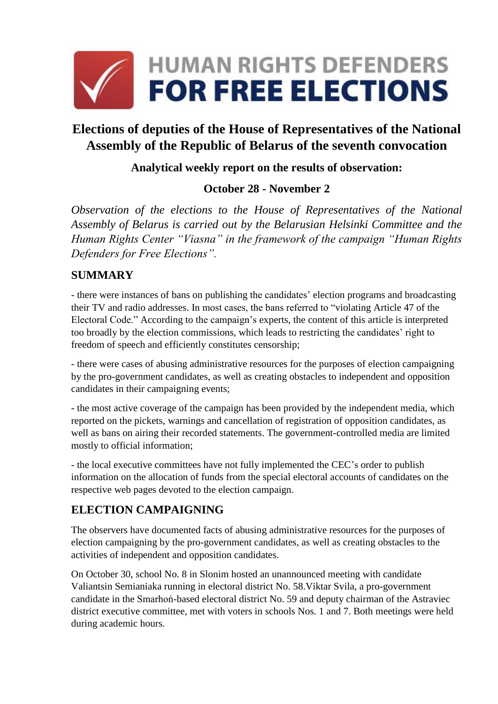

# **Elections of deputies of the House of Representatives of the National Assembly of the Republic of Belarus of the seventh convocation**

#### **Analytical weekly report on the results of observation:**

### **October 28 - November 2**

*Observation of the elections to the House of Representatives of the National Assembly of Belarus is carried out by the Belarusian Helsinki Committee and the Human Rights Center "Viasna" in the framework of the campaign "Human Rights Defenders for Free Elections".*

#### **SUMMARY**

- there were instances of bans on publishing the candidates' election programs and broadcasting their TV and radio addresses. In most cases, the bans referred to "violating Article 47 of the Electoral Code." According to the campaign's experts, the content of this article is interpreted too broadly by the election commissions, which leads to restricting the candidates' right to freedom of speech and efficiently constitutes censorship;

- there were cases of abusing administrative resources for the purposes of election campaigning by the pro-government candidates, as well as creating obstacles to independent and opposition candidates in their campaigning events;

- the most active coverage of the campaign has been provided by the independent media, which reported on the pickets, warnings and cancellation of registration of opposition candidates, as well as bans on airing their recorded statements. The government-controlled media are limited mostly to official information;

- the local executive committees have not fully implemented the CEC's order to publish information on the allocation of funds from the special electoral accounts of candidates on the respective web pages devoted to the election campaign.

## **ELECTION CAMPAIGNING**

The observers have documented facts of abusing administrative resources for the purposes of election campaigning by the pro-government candidates, as well as creating obstacles to the activities of independent and opposition candidates.

On October 30, school No. 8 in Slonim hosted an unannounced meeting with candidate Valiantsin Semianiaka running in electoral district No. 58.Viktar Svila, a pro-government candidate in the Smarhoń-based electoral district No. 59 and deputy chairman of the Astraviec district executive committee, met with voters in schools Nos. 1 and 7. Both meetings were held during academic hours.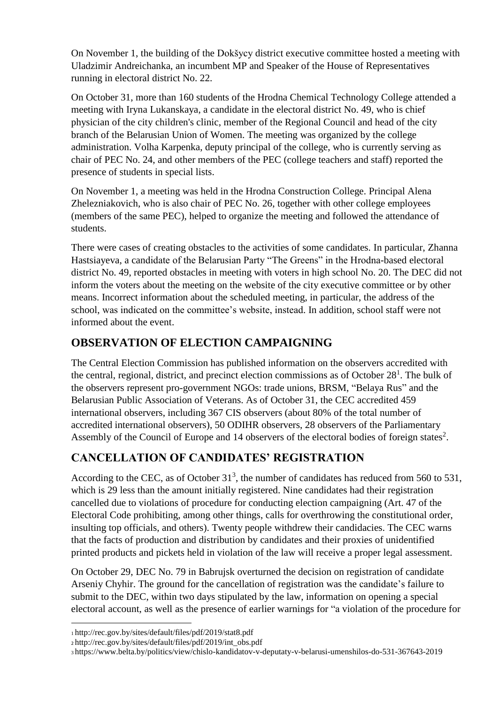On November 1, the building of the Dokšycy district executive committee hosted a meeting with Uladzimir Andreichanka, an incumbent MP and Speaker of the House of Representatives running in electoral district No. 22.

On October 31, more than 160 students of the Hrodna Chemical Technology College attended a meeting with Iryna Lukanskaya, a candidate in the electoral district No. 49, who is chief physician of the city children's clinic, member of the Regional Council and head of the city branch of the Belarusian Union of Women. The meeting was organized by the college administration. Volha Karpenka, deputy principal of the college, who is currently serving as chair of PEC No. 24, and other members of the PEC (college teachers and staff) reported the presence of students in special lists.

On November 1, a meeting was held in the Hrodna Construction College. Principal Alena Zhelezniakovich, who is also chair of PEC No. 26, together with other college employees (members of the same PEC), helped to organize the meeting and followed the attendance of students.

There were cases of creating obstacles to the activities of some candidates. In particular, Zhanna Hastsiayeva, a candidate of the Belarusian Party "The Greens" in the Hrodna-based electoral district No. 49, reported obstacles in meeting with voters in high school No. 20. The DEC did not inform the voters about the meeting on the website of the city executive committee or by other means. Incorrect information about the scheduled meeting, in particular, the address of the school, was indicated on the committee's website, instead. In addition, school staff were not informed about the event.

# **OBSERVATION OF ELECTION CAMPAIGNING**

The Central Election Commission has published information on the observers accredited with the central, regional, district, and precinct election commissions as of October  $28<sup>1</sup>$ . The bulk of the observers represent pro-government NGOs: trade unions, BRSM, "Belaya Rus" and the Belarusian Public Association of Veterans. As of October 31, the CEC accredited 459 international observers, including 367 CIS observers (about 80% of the total number of accredited international observers), 50 ODIHR observers, 28 observers of the Parliamentary Assembly of the Council of Europe and 14 observers of the electoral bodies of foreign states<sup>2</sup>.

## **CANCELLATION OF CANDIDATES' REGISTRATION**

According to the CEC, as of October  $31<sup>3</sup>$ , the number of candidates has reduced from 560 to 531, which is 29 less than the amount initially registered. Nine candidates had their registration cancelled due to violations of procedure for conducting election campaigning (Art. 47 of the Electoral Code prohibiting, among other things, calls for overthrowing the constitutional order, insulting top officials, and others). Twenty people withdrew their candidacies. The CEC warns that the facts of production and distribution by candidates and their proxies of unidentified printed products and pickets held in violation of the law will receive a proper legal assessment.

On October 29, DEC No. 79 in Babrujsk overturned the decision on registration of candidate Arseniy Chyhir. The ground for the cancellation of registration was the candidate's failure to submit to the DEC, within two days stipulated by the law, information on opening a special electoral account, as well as the presence of earlier warnings for "a violation of the procedure for

<sup>1</sup> <sup>1</sup> http://rec.gov.by/sites/default/files/pdf/2019/stat8.pdf

<sup>2</sup> http://rec.gov.by/sites/default/files/pdf/2019/int\_obs.pdf

<sup>3</sup> https://www.belta.by/politics/view/chislo-kandidatov-v-deputaty-v-belarusi-umenshilos-do-531-367643-2019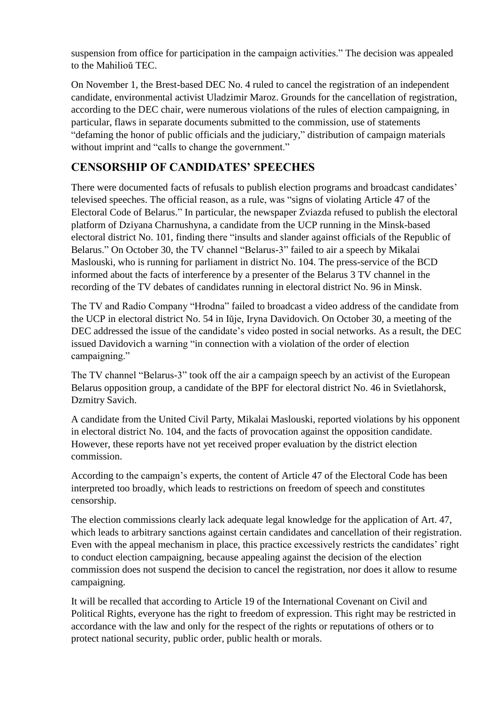suspension from office for participation in the campaign activities." The decision was appealed to the Mahilioŭ TEC.

On November 1, the Brest-based DEC No. 4 ruled to cancel the registration of an independent candidate, environmental activist Uladzimir Maroz. Grounds for the cancellation of registration, according to the DEC chair, were numerous violations of the rules of election campaigning, in particular, flaws in separate documents submitted to the commission, use of statements "defaming the honor of public officials and the judiciary," distribution of campaign materials without imprint and "calls to change the government."

### **CENSORSHIP OF CANDIDATES' SPEECHES**

There were documented facts of refusals to publish election programs and broadcast candidates' televised speeches. The official reason, as a rule, was "signs of violating Article 47 of the Electoral Code of Belarus." In particular, the newspaper Zviazda refused to publish the electoral platform of Dziyana Charnushyna, a candidate from the UCP running in the Minsk-based electoral district No. 101, finding there "insults and slander against officials of the Republic of Belarus." On October 30, the TV channel "Belarus-3" failed to air a speech by Mikalai Maslouski, who is running for parliament in district No. 104. The press-service of the BCD informed about the facts of interference by a presenter of the Belarus 3 TV channel in the recording of the TV debates of candidates running in electoral district No. 96 in Minsk.

The TV and Radio Company "Hrodna" failed to broadcast a video address of the candidate from the UCP in electoral district No. 54 in Iŭje, Iryna Davidovich. On October 30, a meeting of the DEC addressed the issue of the candidate's video posted in social networks. As a result, the DEC issued Davidovich a warning "in connection with a violation of the order of election campaigning."

The TV channel "Belarus-3" took off the air a campaign speech by an activist of the European Belarus opposition group, a candidate of the BPF for electoral district No. 46 in Svietlahorsk, Dzmitry Savich.

A candidate from the United Civil Party, Mikalai Maslouski, reported violations by his opponent in electoral district No. 104, and the facts of provocation against the opposition candidate. However, these reports have not yet received proper evaluation by the district election commission.

According to the campaign's experts, the content of Article 47 of the Electoral Code has been interpreted too broadly, which leads to restrictions on freedom of speech and constitutes censorship.

The election commissions clearly lack adequate legal knowledge for the application of Art. 47, which leads to arbitrary sanctions against certain candidates and cancellation of their registration. Even with the appeal mechanism in place, this practice excessively restricts the candidates' right to conduct election campaigning, because appealing against the decision of the election commission does not suspend the decision to cancel the registration, nor does it allow to resume campaigning.

It will be recalled that according to Article 19 of the International Covenant on Civil and Political Rights, everyone has the right to freedom of expression. This right may be restricted in accordance with the law and only for the respect of the rights or reputations of others or to protect national security, public order, public health or morals.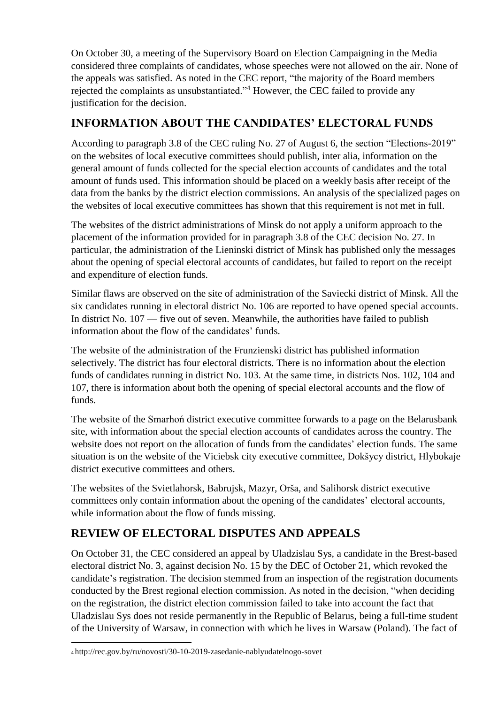On October 30, a meeting of the Supervisory Board on Election Campaigning in the Media considered three complaints of candidates, whose speeches were not allowed on the air. None of the appeals was satisfied. As noted in the CEC report, "the majority of the Board members rejected the complaints as unsubstantiated."<sup>4</sup> However, the CEC failed to provide any justification for the decision.

### **INFORMATION ABOUT THE CANDIDATES' ELECTORAL FUNDS**

According to paragraph 3.8 of the CEC ruling No. 27 of August 6, the section "Elections-2019" on the websites of local executive committees should publish, inter alia, information on the general amount of funds collected for the special election accounts of candidates and the total amount of funds used. This information should be placed on a weekly basis after receipt of the data from the banks by the district election commissions. An analysis of the specialized pages on the websites of local executive committees has shown that this requirement is not met in full.

The websites of the district administrations of Minsk do not apply a uniform approach to the placement of the information provided for in paragraph 3.8 of the CEC decision No. 27. In particular, the administration of the Lieninski district of Minsk has published only the messages about the opening of special electoral accounts of candidates, but failed to report on the receipt and expenditure of election funds.

Similar flaws are observed on the site of administration of the Saviecki district of Minsk. All the six candidates running in electoral district No. 106 are reported to have opened special accounts. In district No. 107 — five out of seven. Meanwhile, the authorities have failed to publish information about the flow of the candidates' funds.

The website of the administration of the Frunzienski district has published information selectively. The district has four electoral districts. There is no information about the election funds of candidates running in district No. 103. At the same time, in districts Nos. 102, 104 and 107, there is information about both the opening of special electoral accounts and the flow of funds.

The website of the Smarhoń district executive committee forwards to a page on the Belarusbank site, with information about the special election accounts of candidates across the country. The website does not report on the allocation of funds from the candidates' election funds. The same situation is on the website of the Viciebsk city executive committee, Dokšycy district, Hlybokaje district executive committees and others.

The websites of the Svietlahorsk, Babrujsk, Mazyr, Orša, and Salihorsk district executive committees only contain information about the opening of the candidates' electoral accounts, while information about the flow of funds missing.

# **REVIEW OF ELECTORAL DISPUTES AND APPEALS**

On October 31, the CEC considered an appeal by Uladzislau Sys, a candidate in the Brest-based electoral district No. 3, against decision No. 15 by the DEC of October 21, which revoked the candidate's registration. The decision stemmed from an inspection of the registration documents conducted by the Brest regional election commission. As noted in the decision, "when deciding on the registration, the district election commission failed to take into account the fact that Uladzislau Sys does not reside permanently in the Republic of Belarus, being a full-time student of the University of Warsaw, in connection with which he lives in Warsaw (Poland). The fact of

**.** 

<sup>4</sup> http://rec.gov.by/ru/novosti/30-10-2019-zasedanie-nablyudatelnogo-sovet